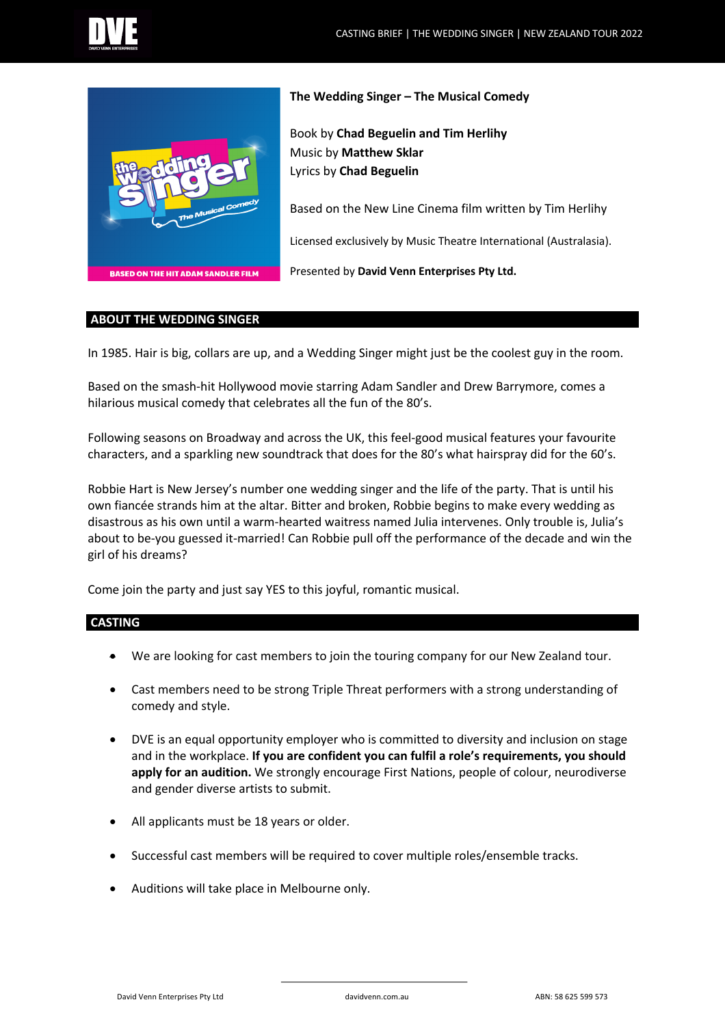



## **The Wedding Singer – The Musical Comedy**

Book by **Chad Beguelin and Tim Herlihy** Music by **Matthew Sklar** Lyrics by **Chad Beguelin**

Based on the New Line Cinema film written by Tim Herlihy

Licensed exclusively by Music Theatre International (Australasia).

Presented by **David Venn Enterprises Pty Ltd.** 

#### **ABOUT THE WEDDING SINGER**

In 1985. Hair is big, collars are up, and a Wedding Singer might just be the coolest guy in the room.

Based on the smash-hit Hollywood movie starring Adam Sandler and Drew Barrymore, comes a hilarious musical comedy that celebrates all the fun of the 80's.

Following seasons on Broadway and across the UK, this feel-good musical features your favourite characters, and a sparkling new soundtrack that does for the 80's what hairspray did for the 60's.

Robbie Hart is New Jersey's number one wedding singer and the life of the party. That is until his own fiancée strands him at the altar. Bitter and broken, Robbie begins to make every wedding as disastrous as his own until a warm-hearted waitress named Julia intervenes. Only trouble is, Julia's about to be-you guessed it-married! Can Robbie pull off the performance of the decade and win the girl of his dreams?

Come join the party and just say YES to this joyful, romantic musical.

# **CASTING**

- We are looking for cast members to join the touring company for our New Zealand tour.
- Cast members need to be strong Triple Threat performers with a strong understanding of comedy and style.
- DVE is an equal opportunity employer who is committed to diversity and inclusion on stage and in the workplace. **If you are confident you can fulfil a role's requirements, you should apply for an audition.** We strongly encourage First Nations, people of colour, neurodiverse and gender diverse artists to submit.
- All applicants must be 18 years or older.
- Successful cast members will be required to cover multiple roles/ensemble tracks.
- Auditions will take place in Melbourne only.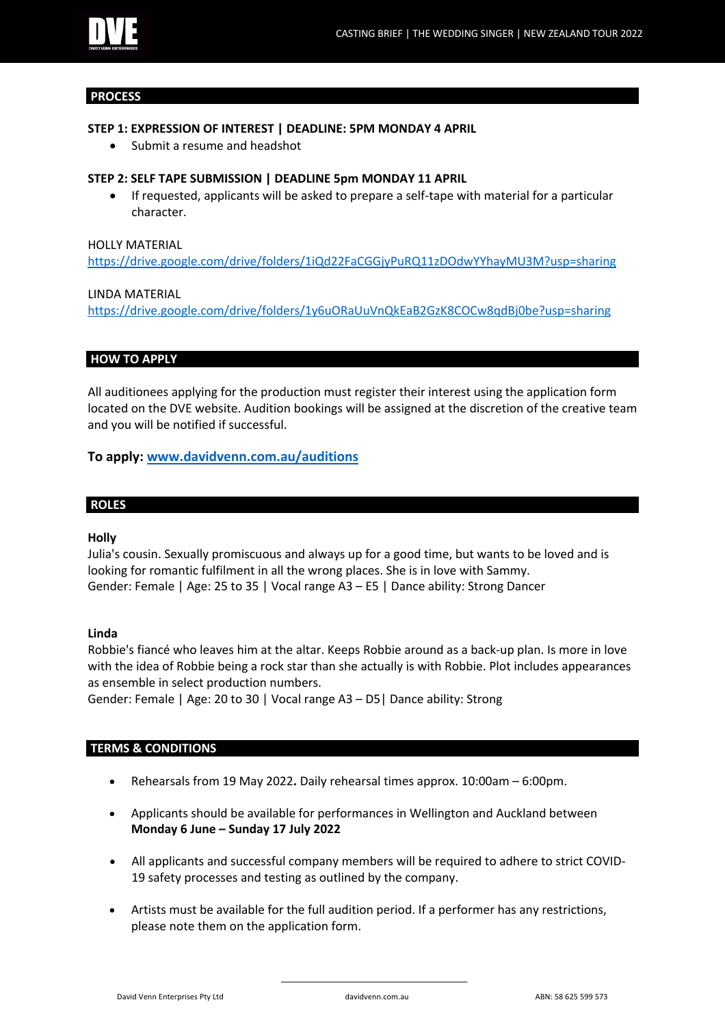### **PROCESS**

# **STEP 1: EXPRESSION OF INTEREST | DEADLINE: 5PM MONDAY 4 APRIL**

Submit a resume and headshot

### **STEP 2: SELF TAPE SUBMISSION | DEADLINE 5pm MONDAY 11 APRIL**

• If requested, applicants will be asked to prepare a self-tape with material for a particular character.

## HOLLY MATERIAL

https://drive.google.com/drive/folders/1iQd22FaCGGjyPuRQ11zDOdwYYhayMU3M?usp=sharing

#### LINDA MATERIAL

https://drive.google.com/drive/folders/1y6uORaUuVnQkEaB2GzK8COCw8qdBj0be?usp=sharing

# **HOW TO APPLY**

All auditionees applying for the production must register their interest using the application form located on the DVE website. Audition bookings will be assigned at the discretion of the creative team and you will be notified if successful.

# **To apply: www.davidvenn.com.au/auditions**

# **ROLES**

#### **Holly**

Julia's cousin. Sexually promiscuous and always up for a good time, but wants to be loved and is looking for romantic fulfilment in all the wrong places. She is in love with Sammy. Gender: Female | Age: 25 to 35 | Vocal range A3 – E5 | Dance ability: Strong Dancer

#### **Linda**

Robbie's fiancé who leaves him at the altar. Keeps Robbie around as a back-up plan. Is more in love with the idea of Robbie being a rock star than she actually is with Robbie. Plot includes appearances as ensemble in select production numbers.

Gender: Female | Age: 20 to 30 | Vocal range A3 – D5| Dance ability: Strong

#### **TERMS & CONDITIONS**

- Rehearsals from 19 May 2022**.** Daily rehearsal times approx. 10:00am 6:00pm.
- Applicants should be available for performances in Wellington and Auckland between **Monday 6 June – Sunday 17 July 2022**
- All applicants and successful company members will be required to adhere to strict COVID-19 safety processes and testing as outlined by the company.
- Artists must be available for the full audition period. If a performer has any restrictions, please note them on the application form.